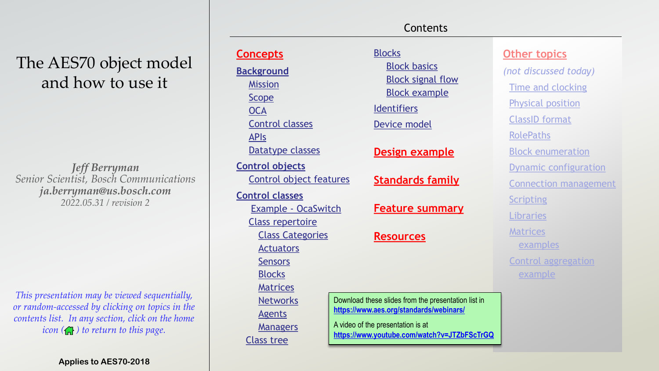# The AES70 object model and how to use it

*Jeff Berryman Senior Scientist, Bosch Communications ja.berryman@us.bosch.com 2022.05.31 / revision 2* 

This presentation may be viewed sequentially, or random-accessed by clicking on topics in the contents list. In any section, click on the home icon  $\left(\bigcap_{i=1}^{n} x_i\right)$  to return to this page.

| <b>Concepts</b>                                                  | <b>Blocks</b>                                       | <b>Other topics</b>          |
|------------------------------------------------------------------|-----------------------------------------------------|------------------------------|
| <b>Background</b>                                                | <b>Block basics</b>                                 | (not discussed today)        |
| <b>Mission</b>                                                   | <b>Block signal flow</b>                            | <b>Time and clocking</b>     |
| <b>Scope</b>                                                     | <b>Block example</b>                                | <b>Physical position</b>     |
| <b>OCA</b>                                                       | Identifiers                                         |                              |
| <b>Control classes</b>                                           | Device model                                        | <b>ClassID</b> format        |
| <b>APIS</b>                                                      |                                                     | <b>RolePaths</b>             |
| Datatype classes                                                 | <b>Design example</b>                               | <b>Block enumeration</b>     |
| <b>Control objects</b>                                           |                                                     | <b>Dynamic configuration</b> |
| Control object features                                          | <b>Standards family</b>                             | <b>Connection management</b> |
| <b>Control classes</b>                                           |                                                     | <b>Scripting</b>             |
| <b>Example - OcaSwitch</b>                                       | <b>Feature summary</b>                              | Libraries                    |
| <b>Class repertoire</b>                                          |                                                     |                              |
| <b>Class Categories</b>                                          | <b>Resources</b>                                    | <b>Matrices</b>              |
| <b>Actuators</b>                                                 |                                                     | examples                     |
| <b>Sensors</b>                                                   |                                                     | <b>Control aggregation</b>   |
| <b>Blocks</b>                                                    |                                                     | example                      |
| <b>Matrices</b>                                                  |                                                     |                              |
| <b>Networks</b>                                                  | Download these slides from the presentation list in |                              |
| <b>Agents</b>                                                    | https://www.aes.org/standards/webinars/             |                              |
| A video of the presentation is at<br><b>Managers</b>             |                                                     |                              |
| https://www.youtube.com/watch?v=JTZbFScTrGQ<br><b>Class tree</b> |                                                     |                              |

Contents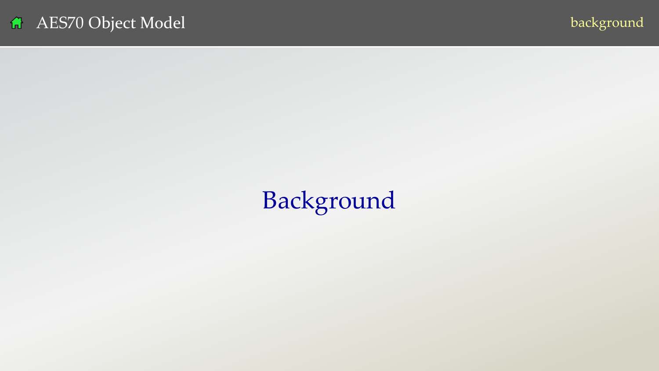# <span id="page-1-0"></span>Background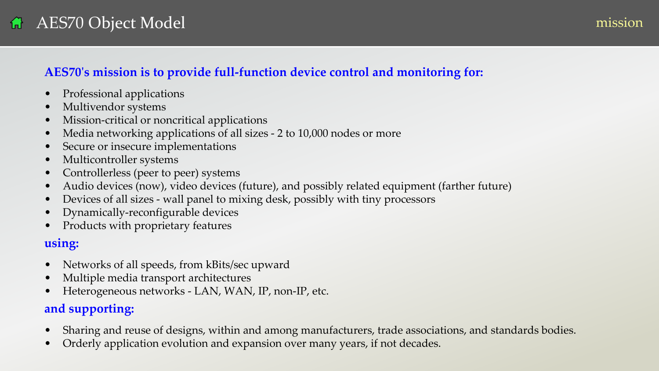### <span id="page-2-0"></span>**AES70's mission is to provide full-function device control and monitoring for:**

- Professional applications
- Multivendor systems
- Mission-critical or noncritical applications
- Media networking applications of all sizes 2 to 10,000 nodes or more
- Secure or insecure implementations
- Multicontroller systems
- Controllerless (peer to peer) systems
- Audio devices (now), video devices (future), and possibly related equipment (farther future)
- Devices of all sizes wall panel to mixing desk, possibly with tiny processors
- Dynamically-reconfigurable devices
- Products with proprietary features

### **using:**

- Networks of all speeds, from kBits/sec upward
- Multiple media transport architectures
- Heterogeneous networks LAN, WAN, IP, non-IP, etc.

### **and supporting:**

- Sharing and reuse of designs, within and among manufacturers, trade associations, and standards bodies.
- Orderly application evolution and expansion over many years, if not decades.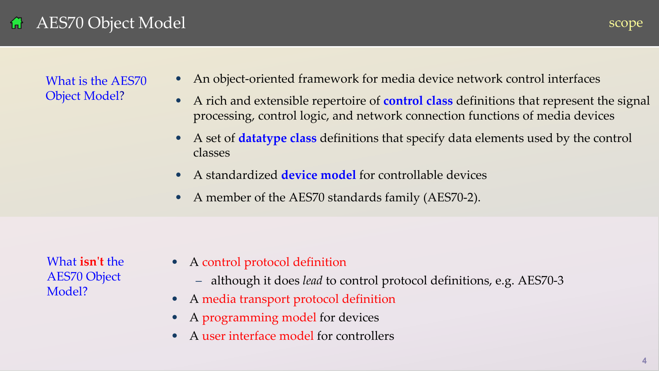### <span id="page-3-0"></span>AES70 Object Model 借

What is the AES70 Object Model?

- An object-oriented framework for media device network control interfaces
- A rich and extensible repertoire of **control class** definitions that represent the signal processing, control logic, and network connection functions of media devices
- A set of **datatype class** definitions that specify data elements used by the control classes
- A standardized **device model** for controllable devices
- A member of the AES70 standards family (AES70-2).

What **isn't** the AES70 Object Model?

- A control protocol definition
	- although it does *lead* to control protocol definitions, e.g. AES70-3
- A media transport protocol definition
- A programming model for devices
- A user interface model for controllers

scope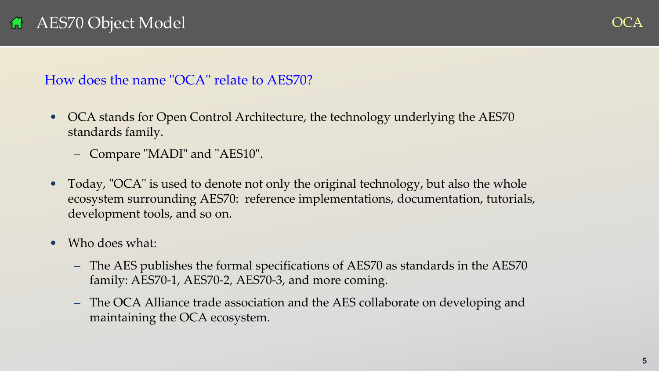# <span id="page-4-0"></span>AES70 Object Model

### How does the name "OCA" relate to AES70?

- OCA stands for Open Control Architecture, the technology underlying the AES70 standards family.
	- Compare "MADI" and "AES10".
- Today, "OCA" is used to denote not only the original technology, but also the whole ecosystem surrounding AES70: reference implementations, documentation, tutorials, development tools, and so on.
- Who does what:
	- The AES publishes the formal specifications of AES70 as standards in the AES70 family: AES70-1, AES70-2, AES70-3, and more coming.
	- The OCA Alliance trade association and the AES collaborate on developing and maintaining the OCA ecosystem.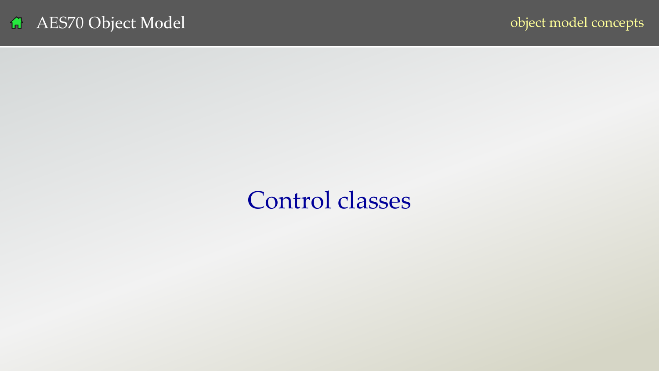# Control classes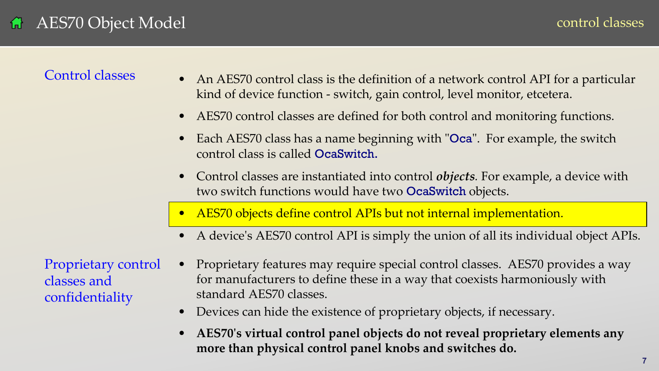### <span id="page-6-0"></span>Control classes

- An AES70 control class is the definition of a network control API for a particular kind of device function - switch, gain control, level monitor, etcetera.
- AES70 control classes are defined for both control and monitoring functions.
- Each AES70 class has a name beginning with "Oca". For example, the switch control class is called OcaSwitch.
- Control classes are instantiated into control *objects*. For example, a device with two switch functions would have two OcaSwitch objects.
- AES70 objects define control APIs but not internal implementation.
- A device's AES70 control API is simply the union of all its individual object APIs.

Proprietary control classes and confidentiality

- Proprietary features may require special control classes. AES70 provides a way for manufacturers to define these in a way that coexists harmoniously with standard AES70 classes.
- Devices can hide the existence of proprietary objects, if necessary.
- **AES70's virtual control panel objects do not reveal proprietary elements any more than physical control panel knobs and switches do.**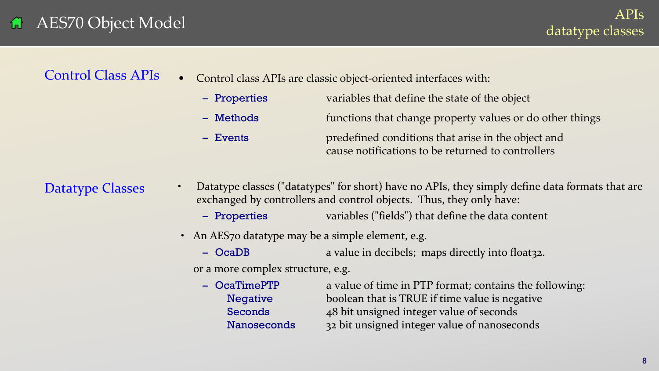### <span id="page-7-0"></span>AES70 Object Model 倚

### • Control class APIs are classic object-oriented interfaces with: Control Class APIs

| - Properties | variables that define the state of the object                                                           |
|--------------|---------------------------------------------------------------------------------------------------------|
| - Methods    | functions that change property values or do other things                                                |
| $-$ Events   | predefined conditions that arise in the object and<br>cause notifications to be returned to controllers |

Datatype Classes

- Datatype classes ("datatypes" for short) have no APIs, they simply define data formats that are exchanged by controllers and control objects. Thus, they only have:
	- Properties variables ("fields") that define the data content
- An AES70 datatype may be a simple element, e.g.
	- OcaDB a value in decibels; maps directly into float32.

or a more complex structure, e.g.

– **OcaTimePTP** a value of time in PTP format; contains the following: Negative boolean that is TRUE if time value is negative Seconds 48 bit unsigned integer value of seconds Nanoseconds 32 bit unsigned integer value of nanoseconds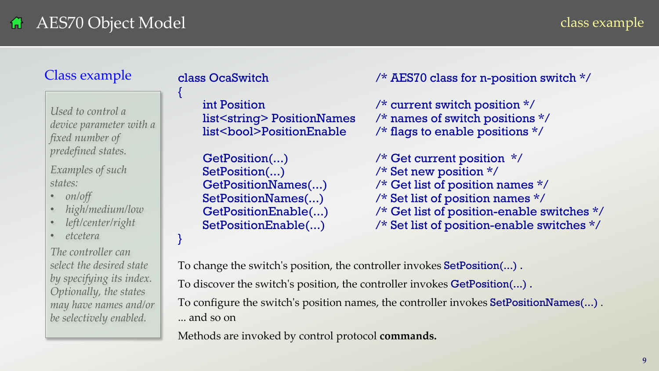### <span id="page-8-0"></span>AES70 Object Model 倚

### class example

### Class example

*Used to control a device parameter with a fixed number of predefined states.* 

*Examples of such states:*

- *on/off*
- *high/medium/low*
- *left/center/right*
- *etcetera*

*The controller can select the desired state by specifying its index. Optionally, the states may have names and/or be selectively enabled.*

{

}

class OcaSwitch /\* AES70 class for n-position switch \*/

int Position /\* current switch position \*/ list<string> PositionNames /\* names of switch positions \*/ list<br/>bool>PositionEnable /\* flags to enable positions \*/

GetPosition(...)  $\frac{1}{2}$  /\* Get current position \*/ SetPosition(...)  $\frac{1}{2}$  /\* Set new position \*/ GetPositionNames(...) /\* Get list of position names \*/ SetPositionNames(...) /\* Set list of position names \*/ GetPositionEnable(...) /\* Get list of position-enable switches \*/ SetPositionEnable(...) /\* Set list of position-enable switches \*/

To change the switch's position, the controller invokes SetPosition(...) . To discover the switch's position, the controller invokes **GetPosition(...)**. To configure the switch's position names, the controller invokes SetPositionNames(...) . ... and so on

Methods are invoked by control protocol **commands.**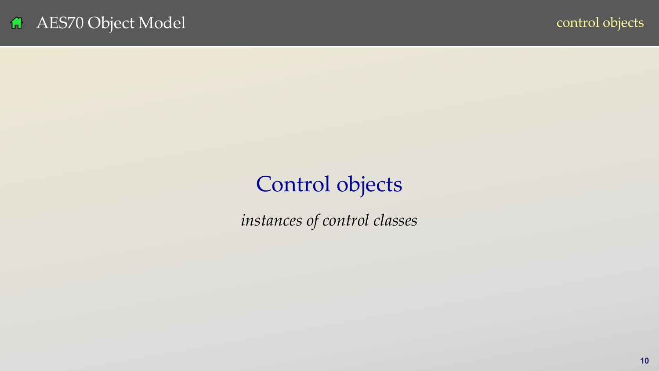# <span id="page-9-0"></span>Control objects

*instances of control classes*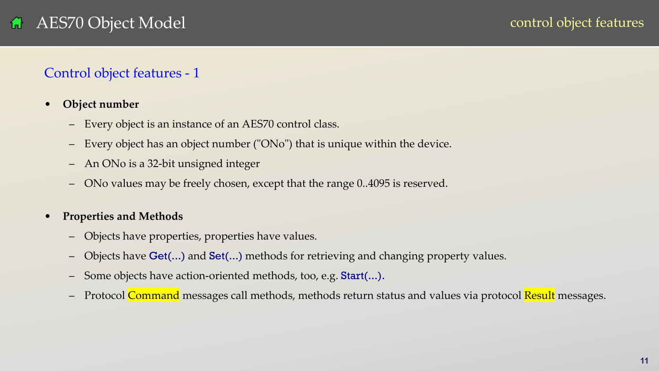### <span id="page-10-0"></span>Control object features - 1

- **Object number**
	- Every object is an instance of an AES70 control class.
	- Every object has an object number ("ONo") that is unique within the device.
	- An ONo is a 32-bit unsigned integer
	- ONo values may be freely chosen, except that the range 0..4095 is reserved.
- **Properties and Methods**
	- Objects have properties, properties have values.
	- Objects have **Get(...)** and **Set(...)** methods for retrieving and changing property values.
	- Some objects have action-oriented methods, too, e.g. Start(...).
	- Protocol Command messages call methods, methods return status and values via protocol Result messages.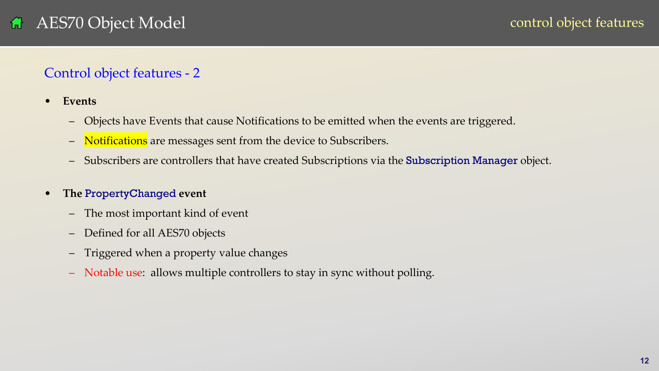### Control object features - 2

- **Events**
	- Objects have Events that cause Notifications to be emitted when the events are triggered.
	- Notifications are messages sent from the device to Subscribers.
	- Subscribers are controllers that have created Subscriptions via the Subscription Manager object.

### • **The** PropertyChanged **event**

- The most important kind of event
- Defined for all AES70 objects
- Triggered when a property value changes
- Notable use: allows multiple controllers to stay in sync without polling.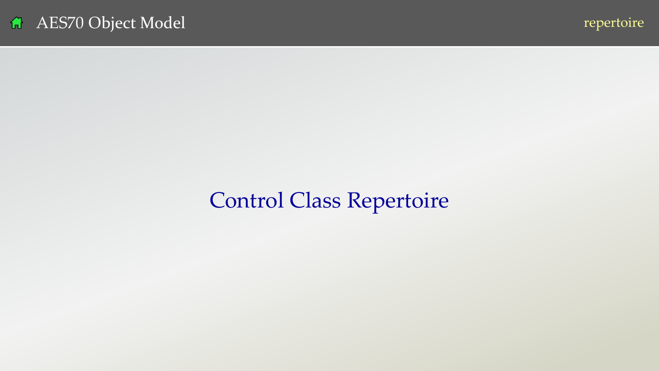

# <span id="page-12-0"></span>Control Class Repertoire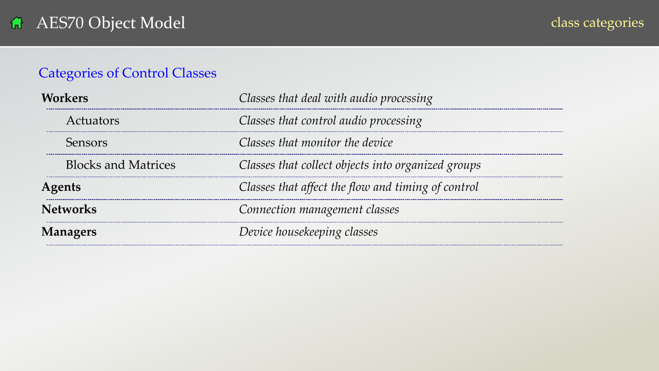### <span id="page-13-0"></span>Categories of Control Classes

| Workers                    | Classes that deal with audio processing            |  |
|----------------------------|----------------------------------------------------|--|
| Actuators                  | Classes that control audio processing              |  |
| Sensors                    | Classes that monitor the device                    |  |
| <b>Blocks and Matrices</b> | Classes that collect objects into organized groups |  |
| Agents                     | Classes that affect the flow and timing of control |  |
| <b>Networks</b>            | Connection management classes                      |  |
| <b>Managers</b>            | Device housekeeping classes                        |  |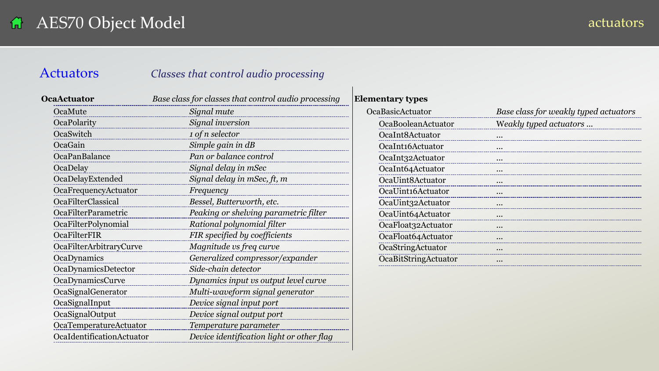### <span id="page-14-0"></span>Actuators *Classes that control audio processing*

| <b>OcaActuator</b>         | Base class for classes that control audio processing |
|----------------------------|------------------------------------------------------|
| OcaMute                    | Signal mute                                          |
| OcaPolarity                | Signal inversion                                     |
| OcaSwitch                  | 1 of n selector                                      |
| OcaGain                    | Simple gain in dB                                    |
| OcaPanBalance              | Pan or balance control                               |
| OcaDelay                   | Signal delay in mSec                                 |
| OcaDelayExtended           | Signal delay in mSec, ft, m                          |
| OcaFrequencyActuator       | Frequency                                            |
| <b>OcaFilterClassical</b>  | Bessel, Butterworth, etc.                            |
| <b>OcaFilterParametric</b> | Peaking or shelving parametric filter                |
| OcaFilterPolynomial        | Rational polynomial filter                           |
| OcaFilterFIR               | FIR specified by coefficients                        |
| OcaFilterArbitraryCurve    | Magnitude vs freq curve                              |
| OcaDynamics                | Generalized compressor/expander                      |
| OcaDynamicsDetector        | Side-chain detector                                  |
| <b>OcaDynamicsCurve</b>    | Dynamics input vs output level curve                 |
| OcaSignalGenerator         | Multi-waveform signal generator                      |
| OcaSignalInput             | Device signal input port                             |
| OcaSignalOutput            | Device signal output port                            |
| OcaTemperatureActuator     | Temperature parameter                                |
| OcaIdentificationActuator  | Device identification light or other flag            |

| <b>Elementary types</b> |                                       |
|-------------------------|---------------------------------------|
| <b>OcaBasicActuator</b> | Base class for weakly typed actuators |
| OcaBooleanActuator      | Weakly typed actuators                |
| OcaInt8Actuator         | $\cdots$                              |
| OcaInt16Actuator        |                                       |
| OcaInt32Actuator        | $\cdots$                              |
| OcaInt64Actuator        |                                       |
| OcaUint8Actuator        | $\cdots$                              |
| OcaUint16Actuator       |                                       |
| OcaUint32Actuator       | $\ddotsc$                             |
| OcaUint64Actuator       |                                       |
| OcaFloat32Actuator      |                                       |
| OcaFloat64Actuator      |                                       |
| OcaStringActuator       | $\bullet$ $\bullet$                   |
| OcaBitStringActuator    | $\ddotsc$                             |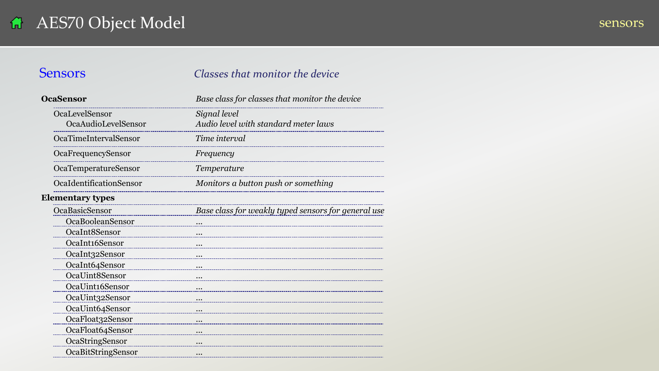### <span id="page-15-0"></span>**Sensors** *Classes that monitor the device*

| <b>OcaSensor</b>        | Base class for classes that monitor the device      |
|-------------------------|-----------------------------------------------------|
| OcaLevelSensor          | Signal level                                        |
| OcaAudioLevelSensor     | Audio level with standard meter laws                |
| OcaTimeIntervalSensor   | Time interval                                       |
| OcaFrequencySensor      | Frequency                                           |
| OcaTemperatureSensor    | Temperature                                         |
| OcaIdentificationSensor | Monitors a button push or something                 |
| <b>Elementary types</b> |                                                     |
| OcaBasicSensor          | Base class for weakly typed sensors for general use |
| OcaBooleanSensor        | $\ddotsc$                                           |
| OcaInt8Sensor           | $\ddotsc$                                           |
| OcaInt16Sensor          |                                                     |
| OcaInt32Sensor          | $\ddotsc$                                           |
| OcaInt64Sensor          | $\cdots$                                            |
| OcaUint8Sensor          | $\cdots$                                            |
| OcaUint16Sensor         | $\cdots$                                            |
| OcaUint32Sensor         | $\ddotsc$                                           |
| OcaUint64Sensor         | $\cdots$                                            |
| OcaFloat32Sensor        | $\ddotsc$                                           |
| OcaFloat64Sensor        | $\cdots$                                            |
| OcaStringSensor         |                                                     |
| OcaBitStringSensor      | $\cdots$                                            |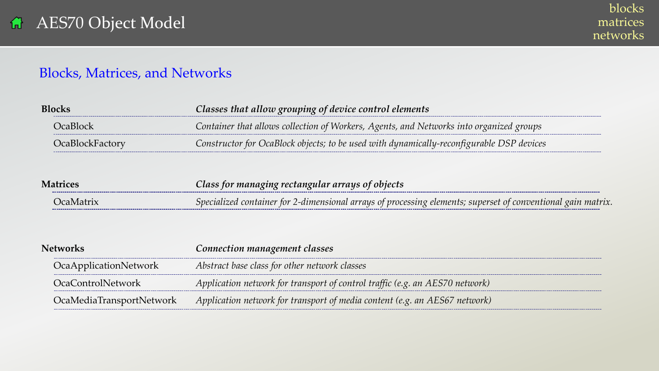### <span id="page-16-0"></span>Blocks, Matrices, and Networks

| Blocks |          | Classes that allow grouping of device control elements                                   |  |
|--------|----------|------------------------------------------------------------------------------------------|--|
|        | JeaBlock | Container that allows collection of Workers, Agents, and Networks into organized groups  |  |
|        |          | Constructor for OcaBlock objects; to be used with dynamically-reconfigurable DSP devices |  |

| <b>Matrices</b>   | $\blacksquare$ Class for managing rectangular arrays of objects $\blacksquare$                               |  |
|-------------------|--------------------------------------------------------------------------------------------------------------|--|
| <u> IcaMatrix</u> | Specialized container for 2-dimensional arrays of processing elements; superset of conventional gain matrix. |  |

| Networks |                              | Connection management classes                                                |  |
|----------|------------------------------|------------------------------------------------------------------------------|--|
|          | <b>OcaApplicationNetwork</b> | Abstract base class for other network classes                                |  |
|          | OcaControlNetwork            | Application network for transport of control traffic (e.g. an AES70 network) |  |
|          | OcaMediaTransportNetwork     | Application network for transport of media content (e.g. an AES67 network)   |  |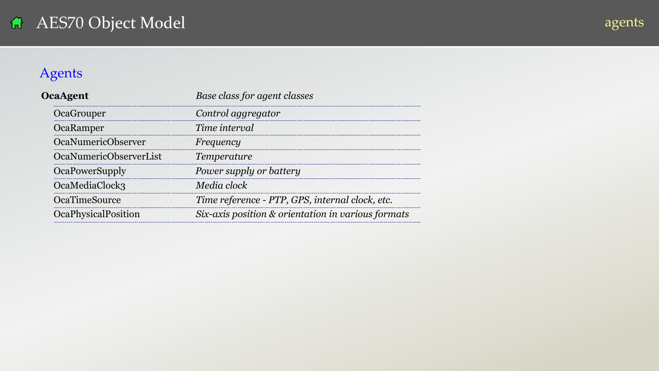### <span id="page-17-0"></span>Agents

| <b>OcaAgent</b>               | Base class for agent classes                       |  |
|-------------------------------|----------------------------------------------------|--|
| OcaGrouper                    | Control aggregator                                 |  |
| OcaRamper                     | Time interval                                      |  |
| <b>OcaNumericObserver</b>     | Frequency                                          |  |
| <b>OcaNumericObserverList</b> | <i>Temperature</i>                                 |  |
| <b>OcaPowerSupply</b>         | Power supply or battery                            |  |
| OcaMediaClock3                | Media clock                                        |  |
| <b>OcaTimeSource</b>          | Time reference - PTP, GPS, internal clock, etc.    |  |
| <b>OcaPhysicalPosition</b>    | Six-axis position & orientation in various formats |  |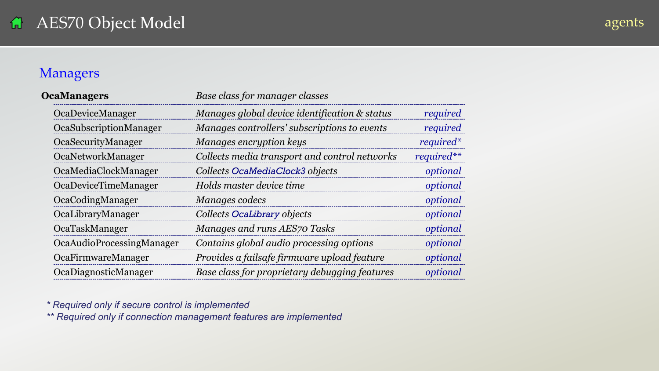### agents<sup>1</sup>

### <span id="page-18-0"></span>Managers

| <b>OcaManagers</b>        | Base class for manager classes                            |              |  |
|---------------------------|-----------------------------------------------------------|--------------|--|
| OcaDeviceManager          | Manages global device identification & status<br>required |              |  |
| OcaSubscriptionManager    | Manages controllers' subscriptions to events              | required     |  |
| OcaSecurityManager        | Manages encryption keys                                   | required*    |  |
| OcaNetworkManager         | Collects media transport and control networks             | $required**$ |  |
| OcaMediaClockManager      | Collects OcaMediaClock3 objects                           | optional     |  |
| OcaDeviceTimeManager      | Holds master device time                                  | optional     |  |
| OcaCodingManager          | Manages codecs                                            | optional     |  |
| OcaLibraryManager         | Collects OcaLibrary objects                               | optional     |  |
| OcaTaskManager            | Manages and runs AES70 Tasks                              | optional     |  |
| OcaAudioProcessingManager | Contains global audio processing options                  | optional     |  |
| OcaFirmwareManager        | Provides a failsafe firmware upload feature               | optional     |  |
| OcaDiagnosticManager      | Base class for proprietary debugging features             | optional     |  |

*\* Required only if secure control is implemented*

*\*\* Required only if connection management features are implemented*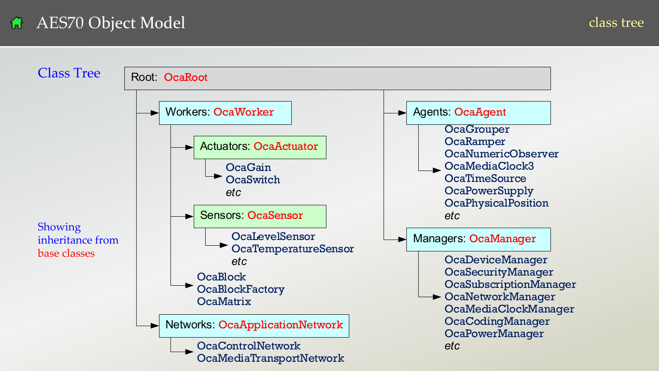<span id="page-19-0"></span>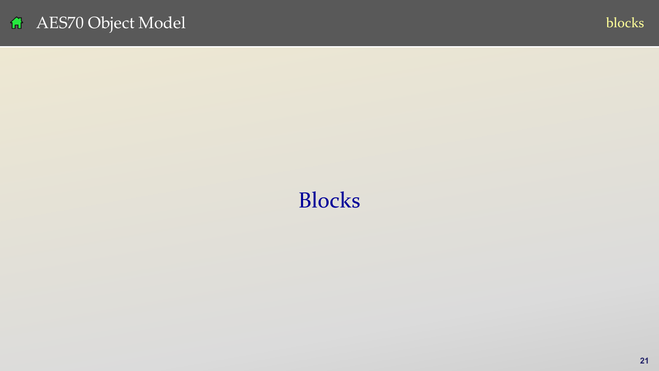<span id="page-20-0"></span>



# Blocks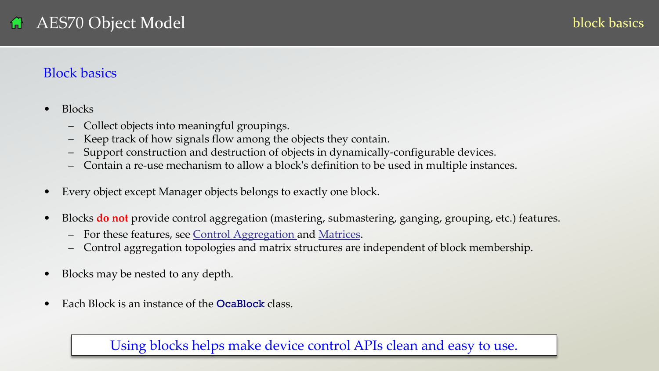### <span id="page-21-0"></span>Block basics

- Blocks
	- Collect objects into meaningful groupings.
	- Keep track of how signals flow among the objects they contain.
	- Support construction and destruction of objects in dynamically-configurable devices.
	- Contain a re-use mechanism to allow a block's definition to be used in multiple instances.
- Every object except Manager objects belongs to exactly one block.
- Blocks **do not** provide control aggregation (mastering, submastering, ganging, grouping, etc.) features.
	- For these features, see [Control Aggregation a](#page-57-0)nd [Matrices](#page-27-0).
	- Control aggregation topologies and matrix structures are independent of block membership.
- Blocks may be nested to any depth.
- Each Block is an instance of the **OcaBlock** class.

Using blocks helps make device control APIs clean and easy to use.

**22** v07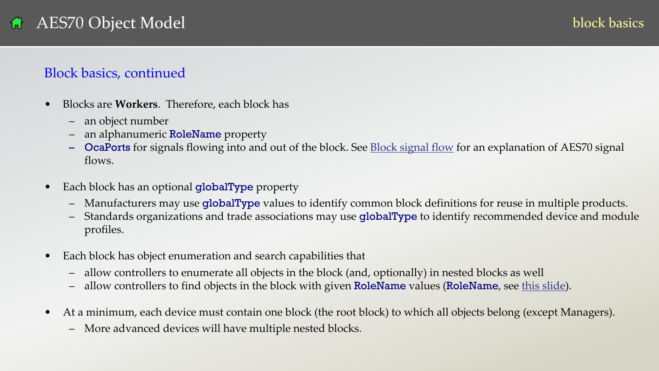### Block basics, continued

- Blocks are **Workers**. Therefore, each block has
	- an object number
	- an alphanumeric RoleName property
	- OcaPorts for signals flowing into and out of the block. See **Block signal flow** for an explanation of AES70 signal flows.
- Each block has an optional globalType property
	- Manufacturers may use globalType values to identify common block definitions for reuse in multiple products.
	- Standards organizations and trade associations may use globalType to identify recommended device and module profiles.
- Each block has object enumeration and search capabilities that
	- allow controllers to enumerate all objects in the block (and, optionally) in nested blocks as well
	- allow controllers to find objects in the block with given RoleName values (RoleName, see [this slide\)](#page-27-0).
- At a minimum, each device must contain one block (the root block) to which all objects belong (except Managers).
	- More advanced devices will have multiple nested blocks.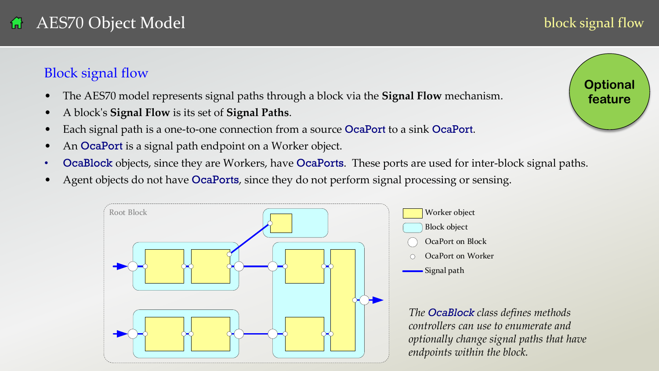### <span id="page-23-0"></span>Block signal flow

- The AES70 model represents signal paths through a block via the **Signal Flow** mechanism.
- A block's **Signal Flow** is its set of **Signal Paths**.
- Each signal path is a one-to-one connection from a source OcaPort to a sink OcaPort.
- An **OcaPort** is a signal path endpoint on a Worker object.
- OcaBlock objects, since they are Workers, have OcaPorts. These ports are used for inter-block signal paths.
- Agent objects do not have OcaPorts, since they do not perform signal processing or sensing.





block signal flow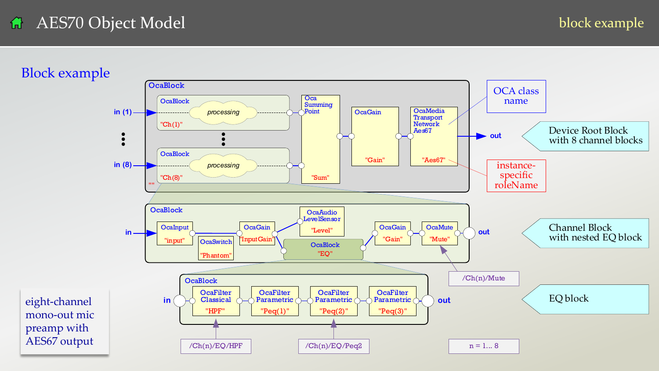block example

<span id="page-24-0"></span>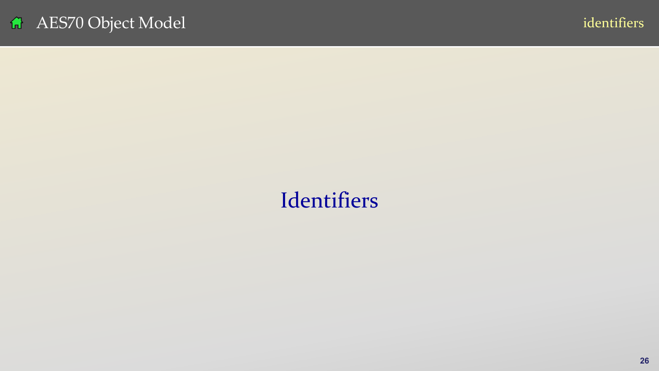# <span id="page-25-0"></span>Identifiers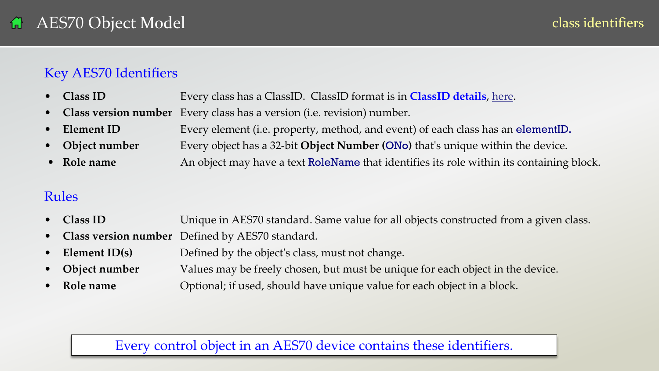### Key AES70 Identifiers

- **Class ID** Every class has a ClassID. ClassID format is in **ClassID details**, here.
- **Class version number** Every class has a version (i.e. revision) number.
- **Element ID** Every element (i.e. property, method, and event) of each class has an elementID**.**
- **Object number** Every object has a 32-bit **Object Number (**ONo**)** that's unique within the device.
- **Role name** An object may have a text **RoleName** that identifies its role within its containing block.

### Rules

- **Class ID** Unique in AES70 standard. Same value for all objects constructed from a given class.
- **Class version number** Defined by AES70 standard.
- **Element ID(s)** Defined by the object's class, must not change.
- **Object number** Values may be freely chosen, but must be unique for each object in the device.
- **Role name Optional**; if used, should have unique value for each object in a block.

### Every control object in an AES70 device contains these identifiers.

27 volume 2008 volume 2008 volume 2008 volume 2008 volume 2008 volume 2008 volume 2008 volume 2008 volume 2008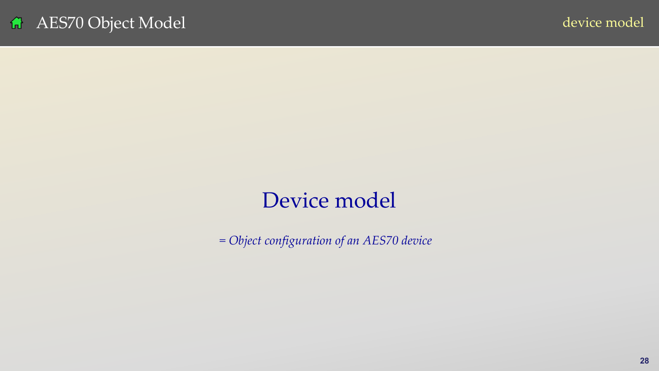# Device model

<span id="page-27-0"></span>*= Object configuration of an AES70 device*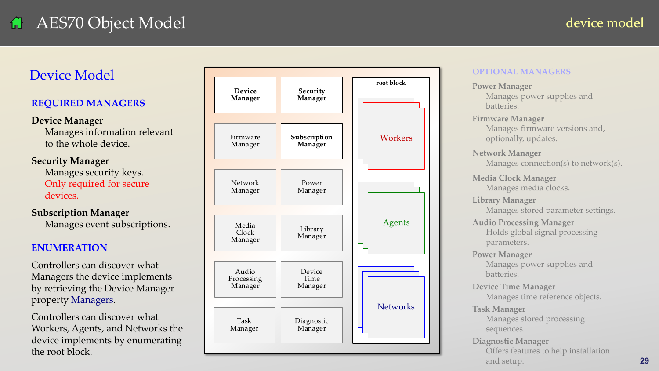### Device Model

### **REQUIRED MANAGERS**

### **Device Manager**

Manages information relevant to the whole device.

### **Security Manager**

Manages security keys. Only required for secure devices.

### **Subscription Manager**

Manages event subscriptions.

### **ENUMERATION**

Controllers can discover what Managers the device implements by retrieving the Device Manager property Managers .

Controllers can discover what Workers, Agents, and Networks the device implements by enumerating the root block.



### **OPTIONAL MANAGERS**

**Power Manager** Manages power supplies and batteries. **Firmware Manager** Manages firmware versions and, optionally, updates. **Network Manager** Manages connection(s) to network(s). **Media Clock Manager** Manages media clocks. **Library Manager** Manages stored parameter settings. **Audio Processing Manager** Holds global signal processing parameters. **Power Manager** Manages power supplies and batteries. **Device Time Manager** Manages time reference objects. **Task Manager** Manages stored processing sequences. **Diagnostic Manager** Offers features to help installation and setup.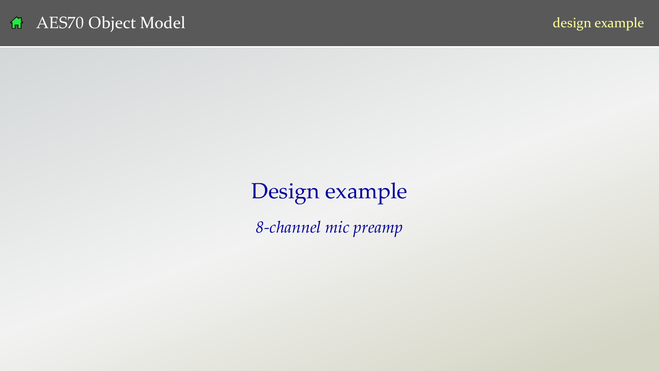# <span id="page-29-0"></span>Design example

*8-channel mic preamp*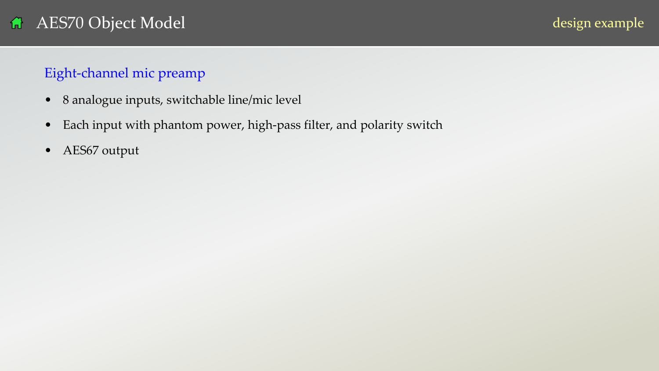### Eight-channel mic preamp

- 8 analogue inputs, switchable line/mic level
- Each input with phantom power, high-pass filter, and polarity switch
- AES67 output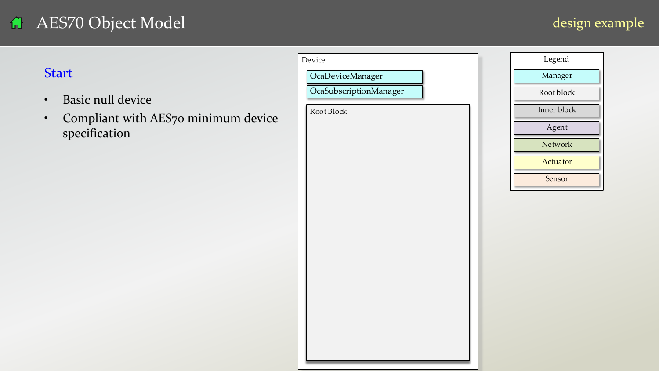# AES70 Object Model<br>Start

- Basic null device
- Compliant with AES70 minimum device specification

|                                                                                                            | Device                               | Legend                                                              |
|------------------------------------------------------------------------------------------------------------|--------------------------------------|---------------------------------------------------------------------|
| Start                                                                                                      | OcaDeviceManager                     | Manager                                                             |
| <b>Basic null device</b><br>$\bullet$<br>Compliant with AES70 minimum device<br>$\bullet$<br>specification | OcaSubscriptionManager<br>Root Block | Root block<br>Inner block<br>Agent<br>Network<br>Actuator<br>Sensor |
|                                                                                                            |                                      |                                                                     |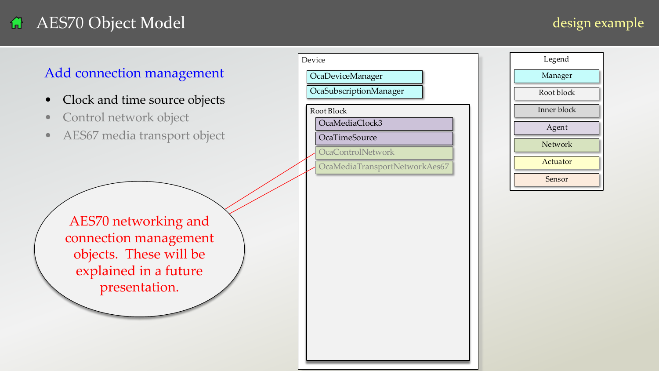### design example

### Add connection management

- Clock and time source objects
- Control network object
- AES67 media transport object

| Device     |                                 |  |
|------------|---------------------------------|--|
|            | <b>OcaDeviceManager</b>         |  |
|            | OcaSubscriptionManager          |  |
| Root Block |                                 |  |
|            | OcaMediaClock3<br>OcaTimeSource |  |
|            | <b>OcaControlNetwork</b>        |  |
|            | OcaMediaTransportNetworkAes67   |  |

**33** v07

| Legend      |
|-------------|
| Manager     |
| Root block  |
| Inner block |
| Agent       |
| Network     |
| Actuator    |
| Sensor      |
|             |

AES70 networking and connection management objects. These will be explained in a future presentation.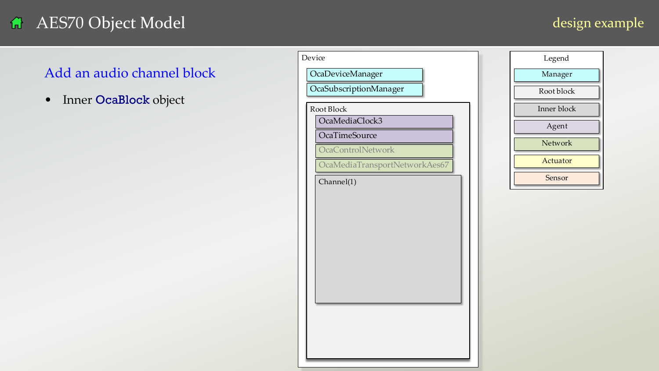### design example

### Add an audio channel block

|                                    | Device                             | Legend      |
|------------------------------------|------------------------------------|-------------|
| Add an audio channel block         | OcaDeviceManager                   | Manager     |
| Inner OcaBlock object<br>$\bullet$ | OcaSubscriptionManager             | Root block  |
|                                    | Root Block                         | Inner block |
|                                    | OcaMediaClock3                     | Agent       |
|                                    | OcaTimeSource<br>OcaControlNetwork | Network     |
|                                    | OcaMediaTransportNetworkAes67      | Actuator    |
|                                    | Charnel(1)                         | Sensor      |
|                                    |                                    |             |
|                                    |                                    |             |
|                                    |                                    |             |
|                                    |                                    |             |
|                                    |                                    |             |
|                                    |                                    |             |
|                                    |                                    |             |
|                                    |                                    |             |
|                                    |                                    |             |
|                                    |                                    |             |
|                                    |                                    |             |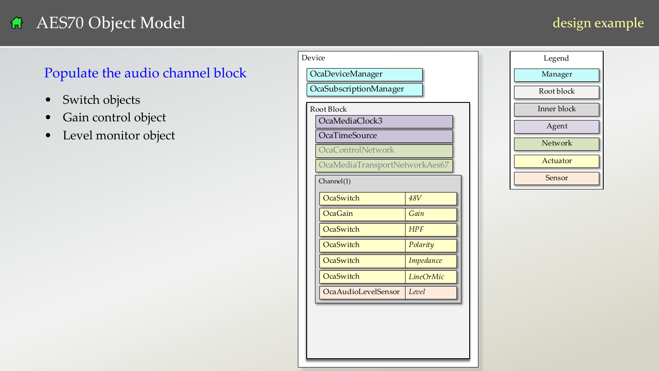### design example

### Populate the audio channel block

- Switch objects
- Gain control object
- Level monitor object

|                                  | Device<br>Legend                     |
|----------------------------------|--------------------------------------|
| Populate the audio channel block | OcaDeviceManager<br>Manager          |
| Switch objects<br>$\bullet$      | OcaSubscriptionManager<br>Root block |
| Gain control object              | Inner block<br>Root Block            |
|                                  | OcaMediaClock3<br>Agent              |
| Level monitor object             | <b>OcaTimeSource</b><br>Network      |
|                                  | OcaControlNetwork<br>Actuator        |
|                                  | OcaMediaTransportNetworkAes67        |
|                                  | Sensor<br>Channel(1)                 |
|                                  | OcaSwitch<br><b>48V</b>              |
|                                  | OcaGain<br>Gain                      |
|                                  | OcaSwitch<br><b>HPF</b>              |
|                                  | OcaSwitch<br>Polarity                |
|                                  | OcaSwitch<br>Impedance               |
|                                  | OcaSwitch<br>LineOrMic               |
|                                  | OcaAudioLevelSensor<br>Level         |
|                                  |                                      |
|                                  |                                      |
|                                  |                                      |
|                                  |                                      |
|                                  |                                      |

| Legend      |
|-------------|
| Manager     |
| Root block  |
| Inner block |
| Agent       |
| Network     |
| Actuator    |
| Sensor      |
|             |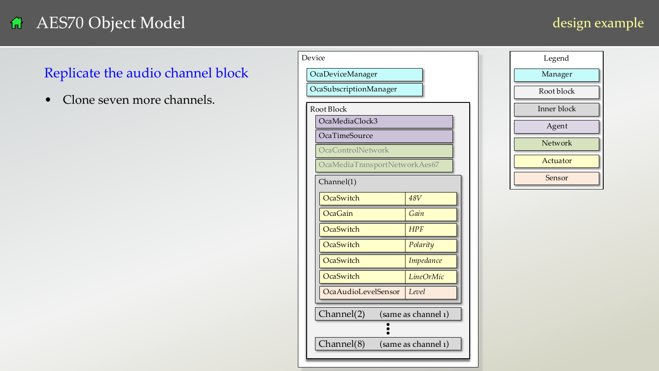### design example

### Replicate the audio channel block

|                                   | Device<br>Legend                          |  |
|-----------------------------------|-------------------------------------------|--|
| Replicate the audio channel block | OcaDeviceManager<br>Manager               |  |
|                                   | OcaSubscriptionManager<br>Root block      |  |
| Clone seven more channels.        | Inner block<br>Root Block                 |  |
|                                   | OcaMediaClock3<br>Agent                   |  |
|                                   | OcaTimeSource<br>Network                  |  |
|                                   | OcaControlNetwork<br>Actuator             |  |
|                                   | OcaMediaTransportNetworkAes67<br>Sensor   |  |
|                                   | Channel(1)                                |  |
|                                   | OcaSwitch<br><b>48V</b>                   |  |
|                                   | Gain<br>OcaGain                           |  |
|                                   | OcaSwitch<br>HPF                          |  |
|                                   | OcaSwitch<br>Polarity<br>OcaSwitch        |  |
|                                   | Impedance<br>OcaSwitch                    |  |
|                                   | LineOrMic<br>OcaAudioLevelSensor<br>Level |  |
|                                   |                                           |  |
|                                   | Channel(2)<br>(same as channel 1)         |  |
|                                   |                                           |  |
|                                   | Channel(8)<br>(same as channel 1)         |  |
|                                   |                                           |  |

| Legend      |
|-------------|
| Manager     |
| Root block  |
| Inner block |
| Agent       |
| Network     |
| Actuator    |
| Sensor      |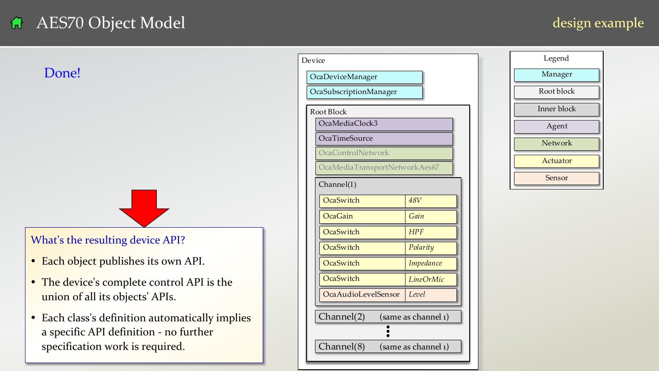### design example



- Each object publishes its own API.
- The device's complete control API is the union of all its objects' APIs.
- Each class's definition automatically implies a specific API definition - no further specification work is required.

<span id="page-36-0"></span>

|                                                                                          | Legend<br>Device                           |
|------------------------------------------------------------------------------------------|--------------------------------------------|
| Done!                                                                                    | Manager<br>OcaDeviceManager                |
|                                                                                          | OcaSubscriptionManager<br>Root block       |
|                                                                                          | Inner block<br>Root Block                  |
|                                                                                          | OcaMediaClock3<br>Agent                    |
|                                                                                          | <b>OcaTimeSource</b><br>Network            |
|                                                                                          | OcaControlNetwork<br>Actuator              |
|                                                                                          | OcaMediaTransportNetworkAes67<br>Sensor    |
|                                                                                          | Channel(1)                                 |
|                                                                                          | OcaSwitch<br><b>48V</b>                    |
|                                                                                          | Gain<br>OcaGain<br>OcaSwitch<br><b>HPF</b> |
| What's the resulting device API?                                                         | OcaSwitch<br>Polarity                      |
| Each object publishes its own API.<br>$\bullet$                                          | OcaSwitch<br>Impedance                     |
|                                                                                          | OcaSwitch<br>LineOrMic                     |
| The device's complete control API is the<br>$\bullet$<br>union of all its objects' APIs. | OcaAudioLevelSensor<br>Level               |
| Each class's definition automatically implies<br>$\bullet$                               | Channel(2)<br>(same as channel 1)          |
| a specific API definition - no further                                                   |                                            |
| specification work is required.                                                          | Channel(8)<br>(same as channel 1)          |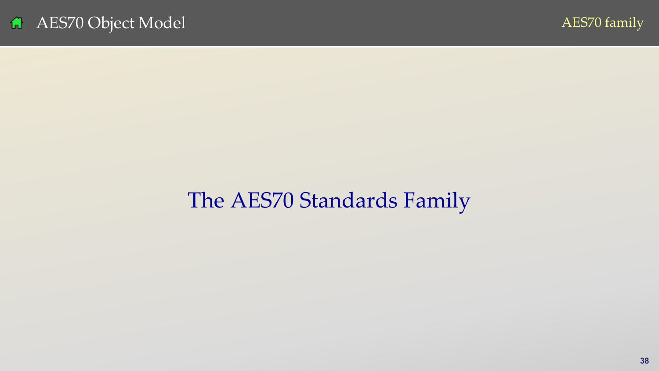

# <span id="page-37-0"></span>The AES70 Standards Family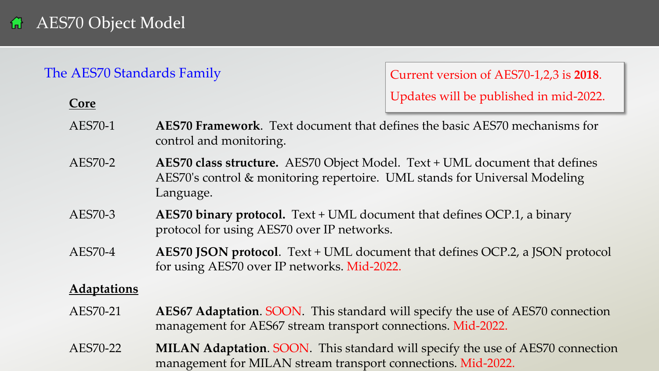**Core**

### The AES70 Standards Family

Current version of AES70-1,2,3 is **2018**. Updates will be published in mid-2022.

AES70-1 **AES70 Framework**. Text document that defines the basic AES70 mechanisms for control and monitoring.

- AES70-2 **AES70 class structure.** AES70 Object Model. Text + UML document that defines AES70's control & monitoring repertoire. UML stands for Universal Modeling Language.
- AES70-3 **AES70 binary protocol.** Text + UML document that defines OCP.1, a binary protocol for using AES70 over IP networks.
- AES70-4 **AES70 JSON protocol**. Text + UML document that defines OCP.2, a JSON protocol for using AES70 over IP networks. Mid-2022.

### **Adaptations**

- AES70-21 **AES67 Adaptation**. SOON. This standard will specify the use of AES70 connection management for AES67 stream transport connections. Mid-2022.
- **39 1991 39 management for MILAN stream transport connections. Mid-2022.** AES70-22 **MILAN Adaptation**. SOON. This standard will specify the use of AES70 connection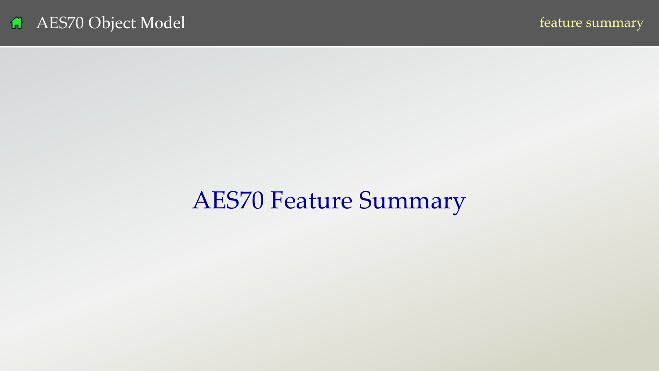# <span id="page-39-0"></span>AES70 Feature Summary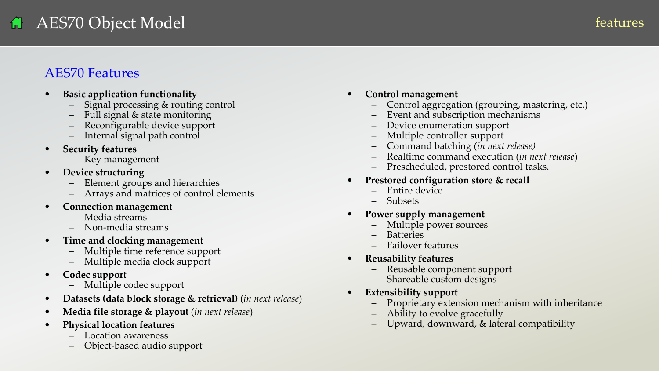### AES70 Features

- **Basic application functionality**
	- Signal processing & routing control
	- Full signal & state monitoring
	- Reconfigurable device support
	- Internal signal path control
- **Security features**
	- Key management
- **Device structuring**
	- Element groups and hierarchies
	- Arrays and matrices of control elements
- **Connection management**
	- Media streams
	- Non-media streams
- **Time and clocking management**
	- Multiple time reference support
	- Multiple media clock support
- **Codec support**
	- Multiple codec support
- **Datasets (data block storage & retrieval)** (*in next release*)
- **Media file storage & playout** (*in next release*)
- **Physical location features**
	- Location awareness
	- Object-based audio support
- **Control management**
	- Control aggregation (grouping, mastering, etc.)
	- Event and subscription mechanisms
	- Device enumeration support
	- Multiple controller support
	- Command batching (*in next release)*
	- Realtime command execution (*in next release*)
	- Prescheduled, prestored control tasks.
- **Prestored configuration store & recall**
	- Entire device
	- Subsets
- **Power supply management**
	- Multiple power sources
	- Batteries
	- Failover features
- **Reusability features**
	- Reusable component support
	- Shareable custom designs
- **Extensibility support**
	- Proprietary extension mechanism with inheritance
	- Ability to evolve gracefully
	- Upward, downward, & lateral compatibility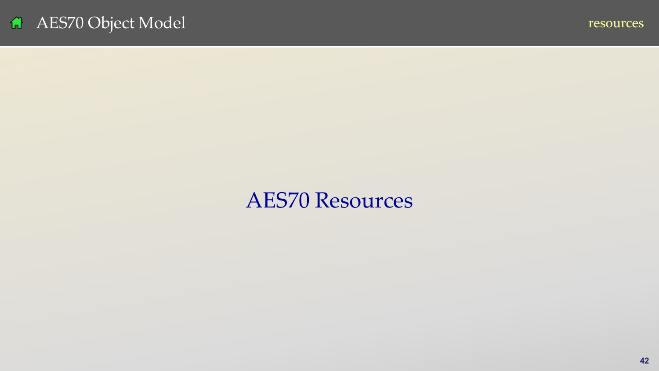# <span id="page-41-0"></span>AES70 Resources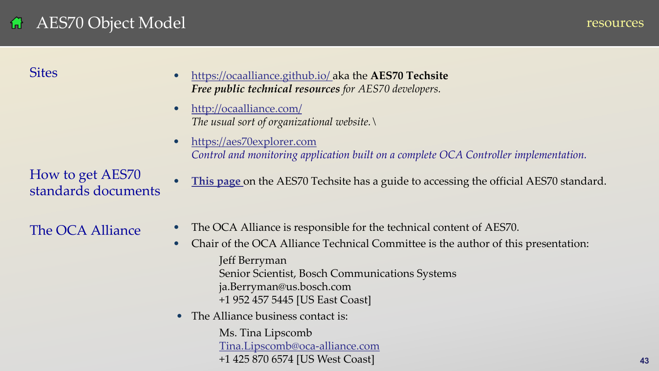### AES70 Object Model 偳

resources

**Sites** 

- <https://ocaalliance.github.io/>aka the **AES70 Techsite** *Free public technical resources for AES70 developers.*
- <http://ocaalliance.com/> *The usual sort of organizational website.\*
- [https://aes70explorer.com](https://aes70explorer.com/) *Control and monitoring application built on a complete OCA Controller implementation.*
- **[This page](https://ocaalliance.github.io/resources.html)** on the AES70 Techsite has a guide to accessing the official AES70 standard.

The OCA Alliance

How to get AES70

standards documents

- The OCA Alliance is responsible for the technical content of AES70.
- Chair of the OCA Alliance Technical Committee is the author of this presentation: Jeff Berryman Senior Scientist, Bosch Communications Systems ja.Berryman@us.bosch.com +1 952 457 5445 [US East Coast]
- The Alliance business contact is:

**43** v07 +1 425 870 6574 [US West Coast] Ms. Tina Lipscomb [Tina.Lipscomb@oca-alliance.com](mailto:Tina.Lipscomb@oca-alliance.com)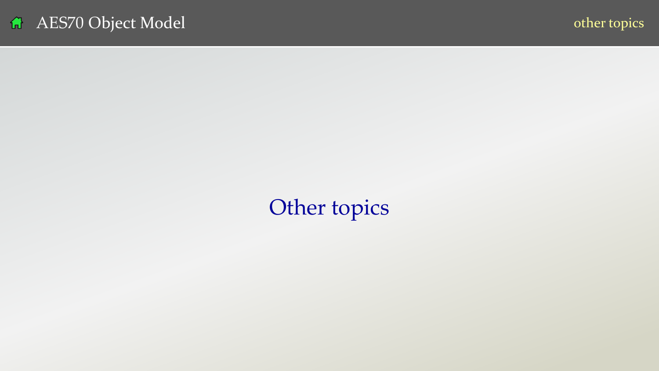<span id="page-43-0"></span>Other topics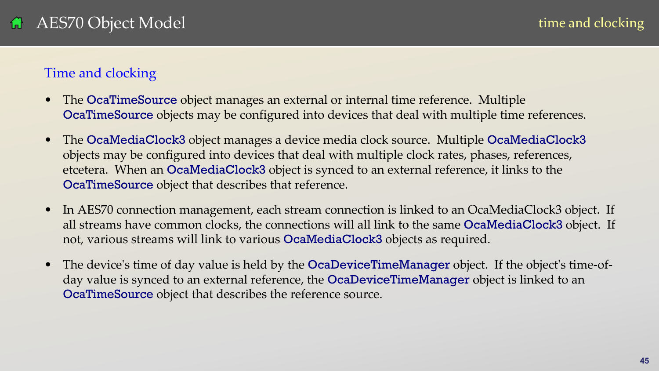### <span id="page-44-0"></span>AES70 Object Model

### Time and clocking

- The **OcaTimeSource** object manages an external or internal time reference. Multiple OcaTimeSource objects may be configured into devices that deal with multiple time references.
- The OcaMediaClock3 object manages a device media clock source. Multiple OcaMediaClock3 objects may be configured into devices that deal with multiple clock rates, phases, references, etcetera. When an OcaMediaClock3 object is synced to an external reference, it links to the OcaTimeSource object that describes that reference.
- In AES70 connection management, each stream connection is linked to an OcaMediaClock3 object. If all streams have common clocks, the connections will all link to the same **OcaMediaClock3** object. If not, various streams will link to various OcaMediaClock3 objects as required.
- The device's time of day value is held by the **OcaDeviceTimeManager** object. If the object's time-ofday value is synced to an external reference, the OcaDeviceTimeManager object is linked to an OcaTimeSource object that describes the reference source.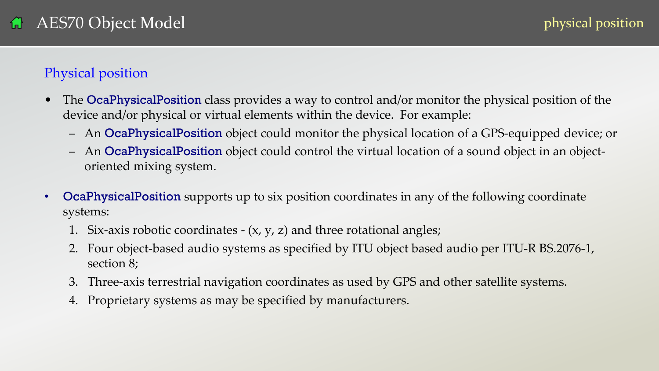### <span id="page-45-0"></span>Physical position

- The **OcaPhysicalPosition** class provides a way to control and/or monitor the physical position of the device and/or physical or virtual elements within the device. For example:
	- An OcaPhysicalPosition object could monitor the physical location of a GPS-equipped device; or
	- An OcaPhysicalPosition object could control the virtual location of a sound object in an objectoriented mixing system.
- **OcaPhysicalPosition** supports up to six position coordinates in any of the following coordinate systems:
	- 1. Six-axis robotic coordinates  $(x, y, z)$  and three rotational angles;
	- 2. Four object-based audio systems as specified by ITU object based audio per ITU-R BS.2076-1, section 8;
	- 3. Three-axis terrestrial navigation coordinates as used by GPS and other satellite systems.
	- 4. Proprietary systems as may be specified by manufacturers.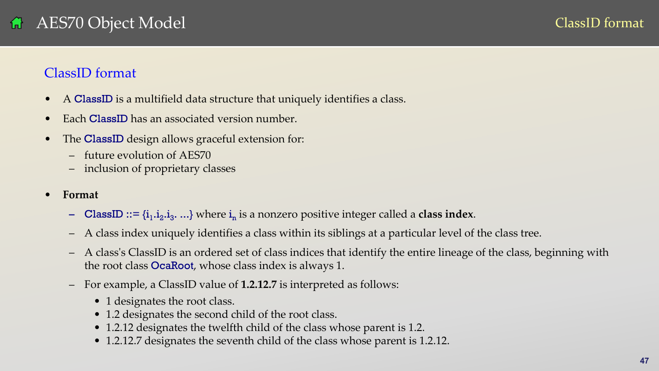### <span id="page-46-0"></span>ClassID format

- A ClassID is a multifield data structure that uniquely identifies a class.
- Each **ClassID** has an associated version number.
- The **ClassID** design allows graceful extension for:
	- future evolution of AES70
	- inclusion of proprietary classes
- **Format**
	- **ClassID** ::=  $\{i_1, i_2, i_3, \ldots\}$  where  $i_n$  is a nonzero positive integer called a **class index**.
	- A class index uniquely identifies a class within its siblings at a particular level of the class tree.
	- A class's ClassID is an ordered set of class indices that identify the entire lineage of the class, beginning with the root class OcaRoot, whose class index is always 1.
	- For example, a ClassID value of **1.2.12.7** is interpreted as follows:
		- 1 designates the root class.
		- 1.2 designates the second child of the root class.
		- 1.2.12 designates the twelfth child of the class whose parent is 1.2.
		- 1.2.12.7 designates the seventh child of the class whose parent is 1.2.12.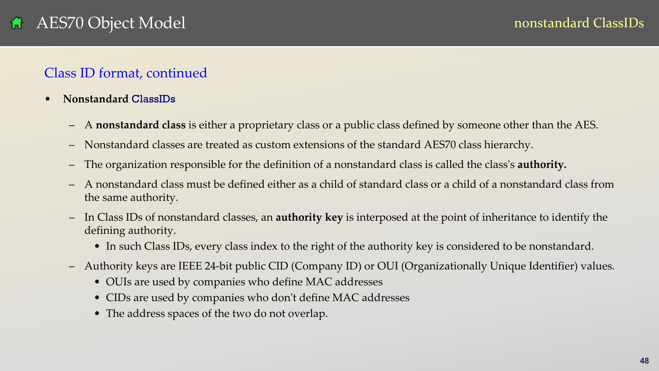### Class ID format, continued

- **Nonstandard** ClassIDs
	- A **nonstandard class** is either a proprietary class or a public class defined by someone other than the AES.
	- Nonstandard classes are treated as custom extensions of the standard AES70 class hierarchy.
	- The organization responsible for the definition of a nonstandard class is called the class's **authority.**
	- A nonstandard class must be defined either as a child of standard class or a child of a nonstandard class from the same authority.
	- In Class IDs of nonstandard classes, an **authority key** is interposed at the point of inheritance to identify the defining authority.
		- In such Class IDs, every class index to the right of the authority key is considered to be nonstandard.
	- Authority keys are IEEE 24-bit public CID (Company ID) or OUI (Organizationally Unique Identifier) values.
		- OUIs are used by companies who define MAC addresses
		- CIDs are used by companies who don't define MAC addresses
		- The address spaces of the two do not overlap.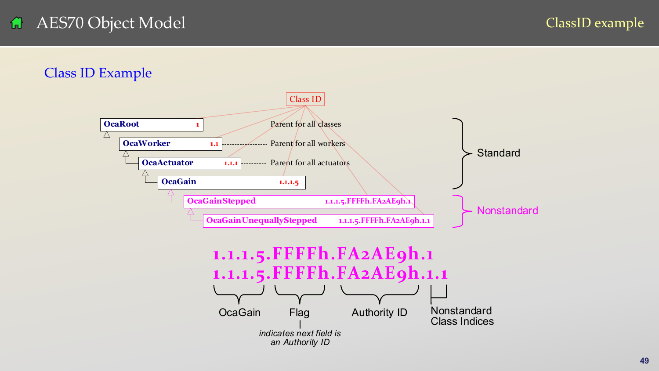### AES70 Object Model 备

ClassID example

### Class ID Example



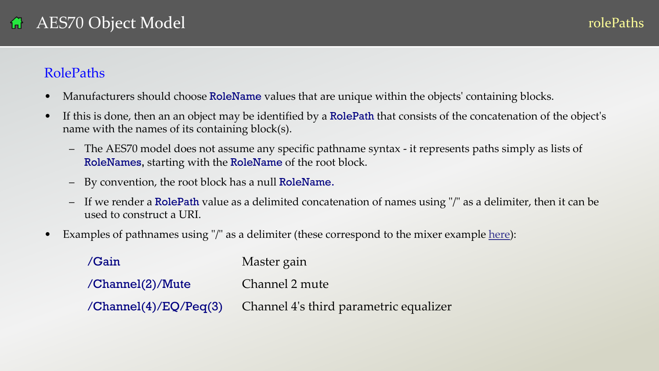### <span id="page-49-0"></span>RolePaths

- Manufacturers should choose RoleName values that are unique within the objects' containing blocks.
- If this is done, then an an object may be identified by a **RolePath** that consists of the concatenation of the object's name with the names of its containing block(s).
	- The AES70 model does not assume any specific pathname syntax it represents paths simply as lists of RoleNames, starting with the RoleName of the root block.
	- By convention, the root block has a null RoleName.
	- If we render a RolePath value as a delimited concatenation of names using "/" as a delimiter, then it can be used to construct a URI.
- Examples of pathnames using "/" as a delimiter (these correspond to the mixer example [here\)](#page-36-0):

| /Gain                   | Master gain                            |
|-------------------------|----------------------------------------|
| $/$ Channel $(2)/$ Mute | Channel 2 mute                         |
| /Channel(4)/EQ/Peq(3)   | Channel 4's third parametric equalizer |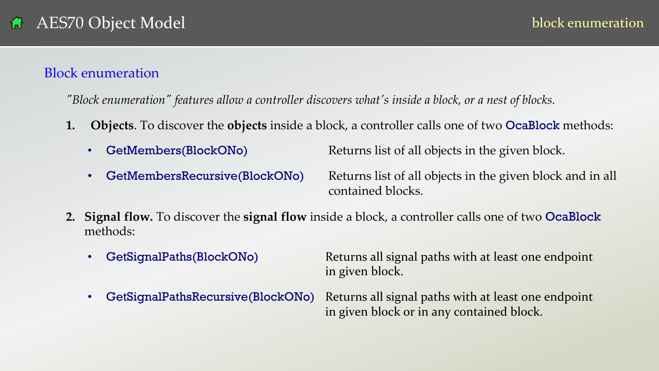### <span id="page-50-0"></span>Block enumeration

*"Block enumeration" features allow a controller discovers what's inside a block, or a nest of blocks.*

- **1. Objects**. To discover the **objects** inside a block, a controller calls one of two OcaBlock methods:
	-
	- GetMembers(BlockONo) Returns list of all objects in the given block.
	-

**GetMembersRecursive(BlockONo)** Returns list of all objects in the given block and in all contained blocks.

- **2. Signal flow.** To discover the **signal flow** inside a block, a controller calls one of two OcaBlock methods:
	- GetSignalPaths(BlockONo) Returns all signal paths with at least one endpoint in given block.
	- GetSignalPathsRecursive(BlockONo) Returns all signal paths with at least one endpoint in given block or in any contained block.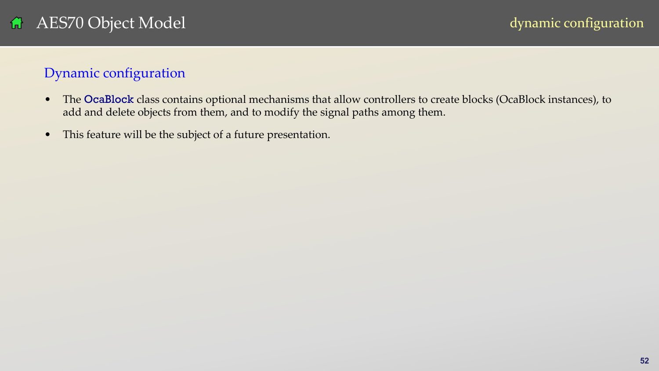### <span id="page-51-0"></span>Dynamic configuration

- The OcaBlock class contains optional mechanisms that allow controllers to create blocks (OcaBlock instances), to add and delete objects from them, and to modify the signal paths among them.
- This feature will be the subject of a future presentation.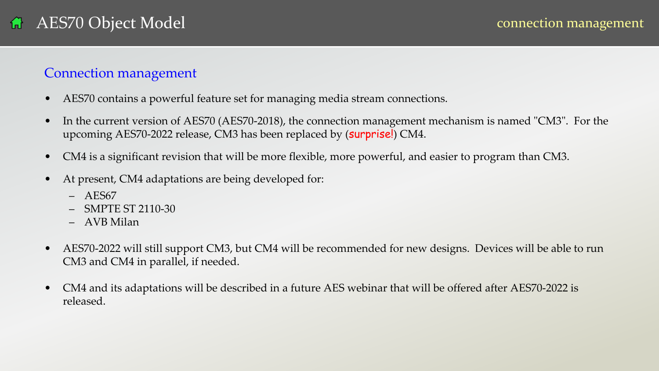### <span id="page-52-0"></span>Connection management

- AES70 contains a powerful feature set for managing media stream connections.
- In the current version of AES70 (AES70-2018), the connection management mechanism is named "CM3". For the upcoming AES70-2022 release, CM3 has been replaced by (surprise!) CM4.
- CM4 is a significant revision that will be more flexible, more powerful, and easier to program than CM3.
- At present, CM4 adaptations are being developed for:
	- AES67
	- SMPTE ST 2110-30
	- AVB Milan
- AES70-2022 will still support CM3, but CM4 will be recommended for new designs. Devices will be able to run CM3 and CM4 in parallel, if needed.
- CM4 and its adaptations will be described in a future AES webinar that will be offered after AES70-2022 is released.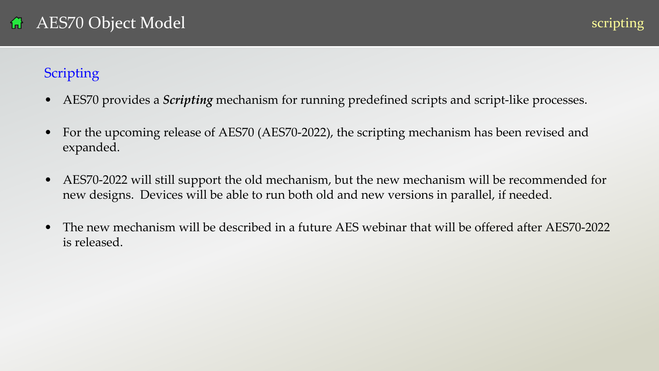### <span id="page-53-0"></span>**Scripting**

- AES70 provides a *Scripting* mechanism for running predefined scripts and script-like processes.
- For the upcoming release of AES70 (AES70-2022), the scripting mechanism has been revised and expanded.
- AES70-2022 will still support the old mechanism, but the new mechanism will be recommended for new designs. Devices will be able to run both old and new versions in parallel, if needed.
- The new mechanism will be described in a future AES webinar that will be offered after AES70-2022 is released.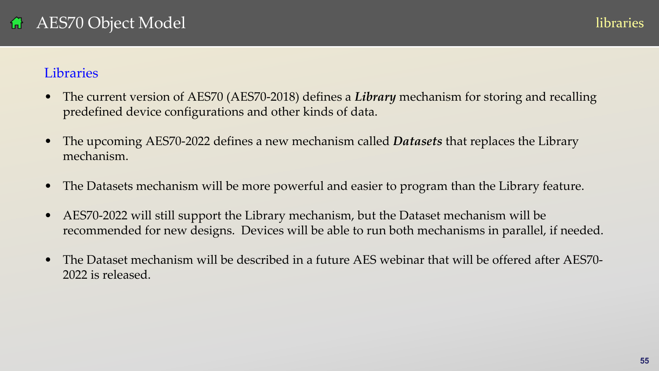### <span id="page-54-0"></span>**Libraries**

- The current version of AES70 (AES70-2018) defines a *Library* mechanism for storing and recalling predefined device configurations and other kinds of data.
- The upcoming AES70-2022 defines a new mechanism called *Datasets* that replaces the Library mechanism.
- The Datasets mechanism will be more powerful and easier to program than the Library feature.
- AES70-2022 will still support the Library mechanism, but the Dataset mechanism will be recommended for new designs. Devices will be able to run both mechanisms in parallel, if needed.
- The Dataset mechanism will be described in a future AES webinar that will be offered after AES70-2022 is released.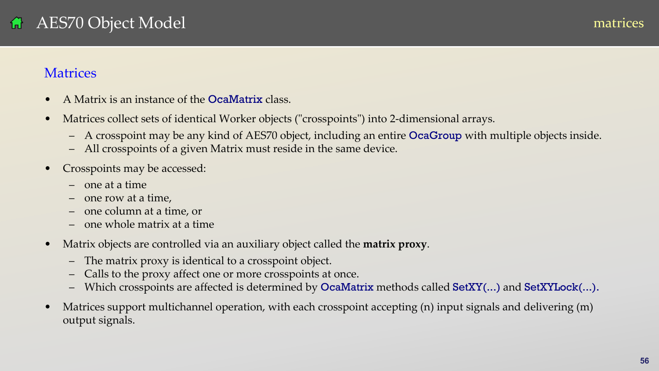### <span id="page-55-0"></span>**Matrices**

- A Matrix is an instance of the **OcaMatrix** class.
- Matrices collect sets of identical Worker objects ("crosspoints") into 2-dimensional arrays.
	- A crosspoint may be any kind of AES70 object, including an entire OcaGroup with multiple objects inside.
	- All crosspoints of a given Matrix must reside in the same device.
- Crosspoints may be accessed:
	- one at a time
	- one row at a time,
	- one column at a time, or
	- one whole matrix at a time
- Matrix objects are controlled via an auxiliary object called the **matrix proxy**.
	- The matrix proxy is identical to a crosspoint object.
	- Calls to the proxy affect one or more crosspoints at once.
	- Which crosspoints are affected is determined by OcaMatrix methods called SetXY(...) and SetXYLock(...).
- Matrices support multichannel operation, with each crosspoint accepting (n) input signals and delivering (m) output signals.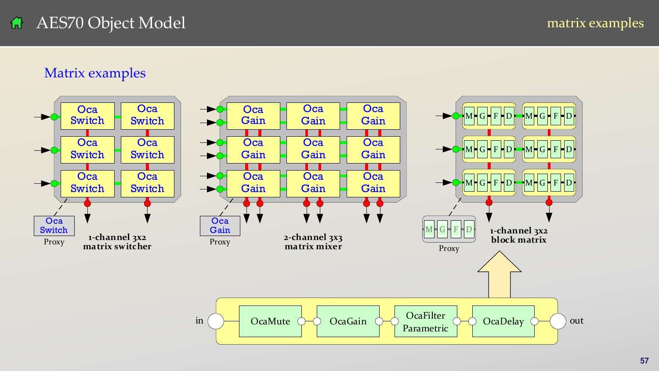### <span id="page-56-0"></span>Matrix examples

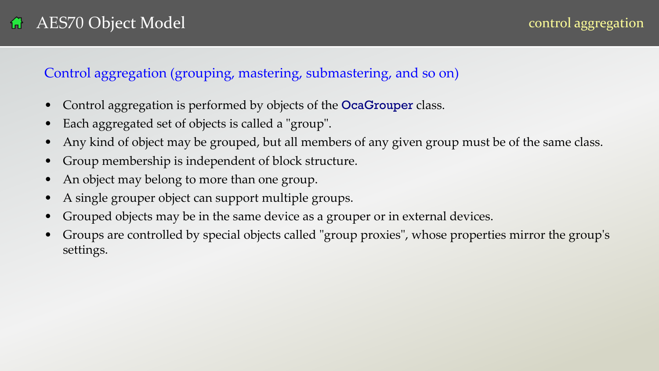### <span id="page-57-0"></span>Control aggregation (grouping, mastering, submastering, and so on)

- Control aggregation is performed by objects of the **OcaGrouper** class.
- Each aggregated set of objects is called a "group".
- Any kind of object may be grouped, but all members of any given group must be of the same class.
- Group membership is independent of block structure.
- An object may belong to more than one group.
- A single grouper object can support multiple groups.
- Grouped objects may be in the same device as a grouper or in external devices.
- Groups are controlled by special objects called "group proxies", whose properties mirror the group's settings.